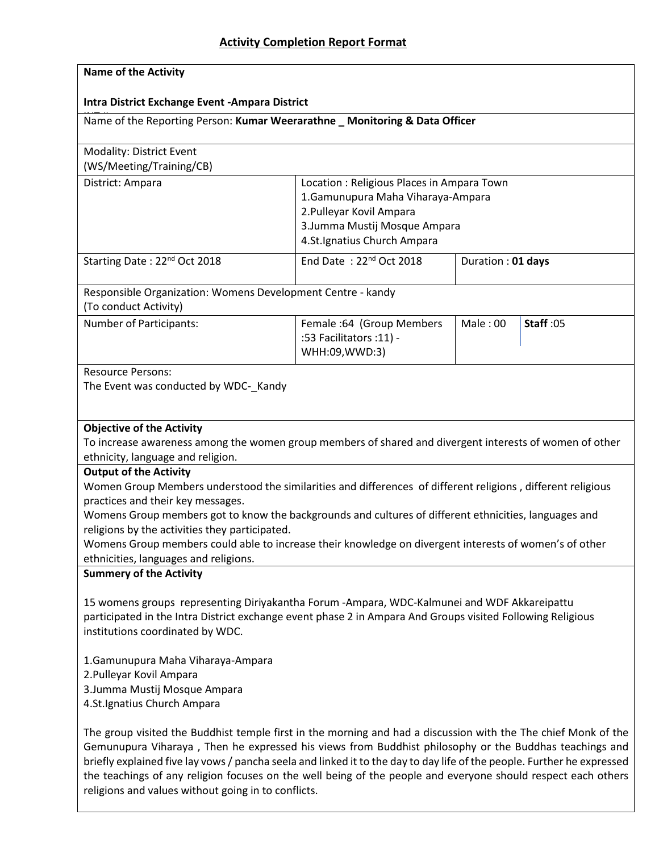| <b>Name of the Activity</b>                                                                                                                                   |                                                                                                                                                                                                                                                                                                                                                                                                                                                                      |                                                                                                                  |                  |  |
|---------------------------------------------------------------------------------------------------------------------------------------------------------------|----------------------------------------------------------------------------------------------------------------------------------------------------------------------------------------------------------------------------------------------------------------------------------------------------------------------------------------------------------------------------------------------------------------------------------------------------------------------|------------------------------------------------------------------------------------------------------------------|------------------|--|
| Intra District Exchange Event - Ampara District                                                                                                               |                                                                                                                                                                                                                                                                                                                                                                                                                                                                      |                                                                                                                  |                  |  |
|                                                                                                                                                               | Name of the Reporting Person: Kumar Weerarathne _ Monitoring & Data Officer                                                                                                                                                                                                                                                                                                                                                                                          |                                                                                                                  |                  |  |
| Modality: District Event<br>(WS/Meeting/Training/CB)                                                                                                          |                                                                                                                                                                                                                                                                                                                                                                                                                                                                      |                                                                                                                  |                  |  |
| District: Ampara                                                                                                                                              | 2. Pulleyar Kovil Ampara<br>4.St.Ignatius Church Ampara                                                                                                                                                                                                                                                                                                                                                                                                              | Location: Religious Places in Ampara Town<br>1. Gamunupura Maha Viharaya-Ampara<br>3. Jumma Mustij Mosque Ampara |                  |  |
| Starting Date: 22 <sup>nd</sup> Oct 2018                                                                                                                      | End Date: 22 <sup>nd</sup> Oct 2018                                                                                                                                                                                                                                                                                                                                                                                                                                  | Duration : 01 days                                                                                               |                  |  |
| Responsible Organization: Womens Development Centre - kandy<br>(To conduct Activity)                                                                          |                                                                                                                                                                                                                                                                                                                                                                                                                                                                      |                                                                                                                  |                  |  |
| Number of Participants:                                                                                                                                       | Female: 64 (Group Members<br>:53 Facilitators :11) -<br>WHH:09, WWD:3)                                                                                                                                                                                                                                                                                                                                                                                               | Male: 00                                                                                                         | <b>Staff: 05</b> |  |
| <b>Resource Persons:</b><br>The Event was conducted by WDC-_Kandy                                                                                             |                                                                                                                                                                                                                                                                                                                                                                                                                                                                      |                                                                                                                  |                  |  |
| <b>Objective of the Activity</b><br>ethnicity, language and religion.                                                                                         | To increase awareness among the women group members of shared and divergent interests of women of other                                                                                                                                                                                                                                                                                                                                                              |                                                                                                                  |                  |  |
| <b>Output of the Activity</b><br>practices and their key messages.<br>religions by the activities they participated.<br>ethnicities, languages and religions. | Women Group Members understood the similarities and differences of different religions, different religious<br>Womens Group members got to know the backgrounds and cultures of different ethnicities, languages and<br>Womens Group members could able to increase their knowledge on divergent interests of women's of other                                                                                                                                       |                                                                                                                  |                  |  |
| <b>Summery of the Activity</b>                                                                                                                                |                                                                                                                                                                                                                                                                                                                                                                                                                                                                      |                                                                                                                  |                  |  |
| institutions coordinated by WDC.                                                                                                                              | 15 womens groups representing Diriyakantha Forum -Ampara, WDC-Kalmunei and WDF Akkareipattu<br>participated in the Intra District exchange event phase 2 in Ampara And Groups visited Following Religious                                                                                                                                                                                                                                                            |                                                                                                                  |                  |  |
| 1. Gamunupura Maha Viharaya-Ampara<br>2. Pulleyar Kovil Ampara<br>3. Jumma Mustij Mosque Ampara<br>4.St.Ignatius Church Ampara                                |                                                                                                                                                                                                                                                                                                                                                                                                                                                                      |                                                                                                                  |                  |  |
|                                                                                                                                                               | The group visited the Buddhist temple first in the morning and had a discussion with the The chief Monk of the<br>Gemunupura Viharaya, Then he expressed his views from Buddhist philosophy or the Buddhas teachings and<br>briefly explained five lay vows / pancha seela and linked it to the day to day life of the people. Further he expressed<br>the teachings of any religion focuses on the well being of the people and everyone should respect each others |                                                                                                                  |                  |  |

religions and values without going in to conflicts.